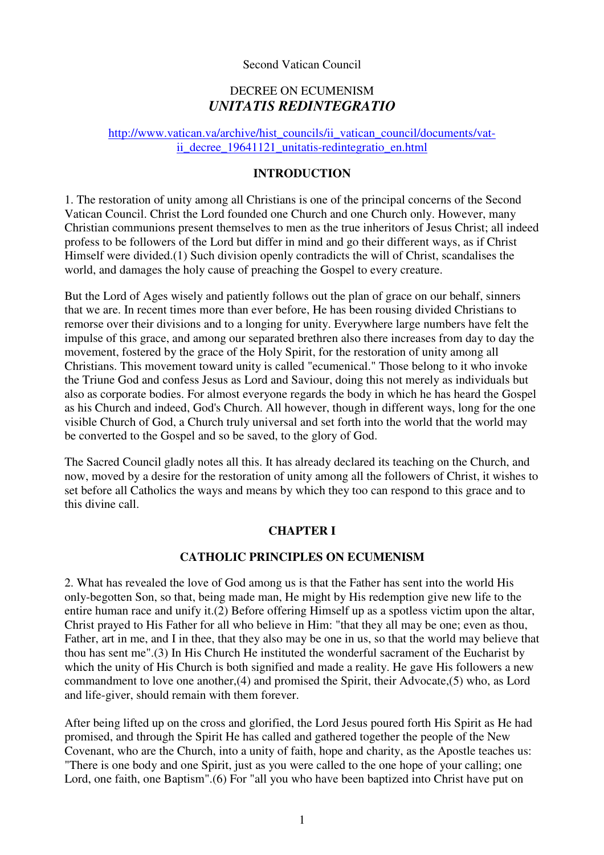#### Second Vatican Council

# DECREE ON ECUMENISM *UNITATIS REDINTEGRATIO*

#### http://www.vatican.va/archive/hist\_councils/ii\_vatican\_council/documents/vatii decree 19641121 unitatis-redintegratio en.html

#### **INTRODUCTION**

1. The restoration of unity among all Christians is one of the principal concerns of the Second Vatican Council. Christ the Lord founded one Church and one Church only. However, many Christian communions present themselves to men as the true inheritors of Jesus Christ; all indeed profess to be followers of the Lord but differ in mind and go their different ways, as if Christ Himself were divided.(1) Such division openly contradicts the will of Christ, scandalises the world, and damages the holy cause of preaching the Gospel to every creature.

But the Lord of Ages wisely and patiently follows out the plan of grace on our behalf, sinners that we are. In recent times more than ever before, He has been rousing divided Christians to remorse over their divisions and to a longing for unity. Everywhere large numbers have felt the impulse of this grace, and among our separated brethren also there increases from day to day the movement, fostered by the grace of the Holy Spirit, for the restoration of unity among all Christians. This movement toward unity is called "ecumenical." Those belong to it who invoke the Triune God and confess Jesus as Lord and Saviour, doing this not merely as individuals but also as corporate bodies. For almost everyone regards the body in which he has heard the Gospel as his Church and indeed, God's Church. All however, though in different ways, long for the one visible Church of God, a Church truly universal and set forth into the world that the world may be converted to the Gospel and so be saved, to the glory of God.

The Sacred Council gladly notes all this. It has already declared its teaching on the Church, and now, moved by a desire for the restoration of unity among all the followers of Christ, it wishes to set before all Catholics the ways and means by which they too can respond to this grace and to this divine call.

#### **CHAPTER I**

#### **CATHOLIC PRINCIPLES ON ECUMENISM**

2. What has revealed the love of God among us is that the Father has sent into the world His only-begotten Son, so that, being made man, He might by His redemption give new life to the entire human race and unify it.(2) Before offering Himself up as a spotless victim upon the altar, Christ prayed to His Father for all who believe in Him: "that they all may be one; even as thou, Father, art in me, and I in thee, that they also may be one in us, so that the world may believe that thou has sent me".(3) In His Church He instituted the wonderful sacrament of the Eucharist by which the unity of His Church is both signified and made a reality. He gave His followers a new commandment to love one another,(4) and promised the Spirit, their Advocate,(5) who, as Lord and life-giver, should remain with them forever.

After being lifted up on the cross and glorified, the Lord Jesus poured forth His Spirit as He had promised, and through the Spirit He has called and gathered together the people of the New Covenant, who are the Church, into a unity of faith, hope and charity, as the Apostle teaches us: "There is one body and one Spirit, just as you were called to the one hope of your calling; one Lord, one faith, one Baptism".(6) For "all you who have been baptized into Christ have put on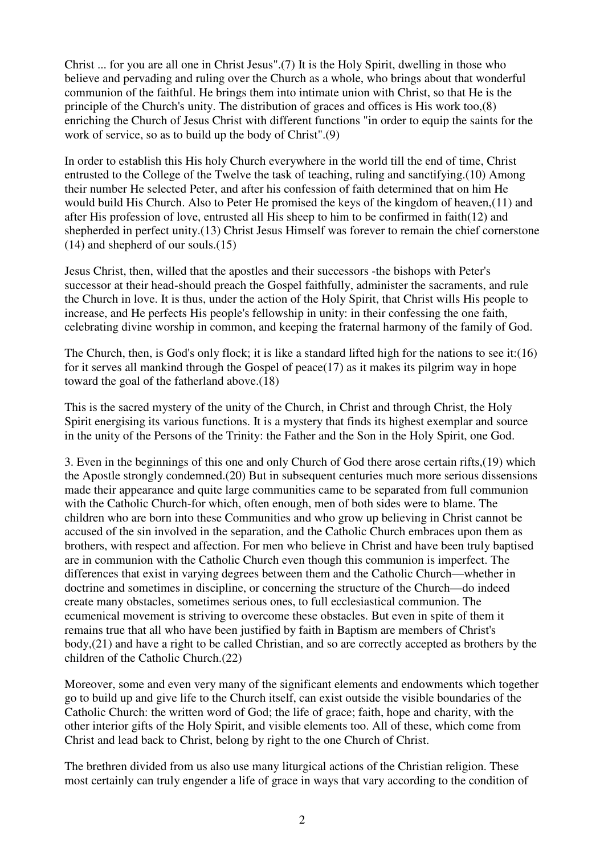Christ ... for you are all one in Christ Jesus".(7) It is the Holy Spirit, dwelling in those who believe and pervading and ruling over the Church as a whole, who brings about that wonderful communion of the faithful. He brings them into intimate union with Christ, so that He is the principle of the Church's unity. The distribution of graces and offices is His work too,(8) enriching the Church of Jesus Christ with different functions "in order to equip the saints for the work of service, so as to build up the body of Christ".(9)

In order to establish this His holy Church everywhere in the world till the end of time, Christ entrusted to the College of the Twelve the task of teaching, ruling and sanctifying.(10) Among their number He selected Peter, and after his confession of faith determined that on him He would build His Church. Also to Peter He promised the keys of the kingdom of heaven,(11) and after His profession of love, entrusted all His sheep to him to be confirmed in faith(12) and shepherded in perfect unity.(13) Christ Jesus Himself was forever to remain the chief cornerstone (14) and shepherd of our souls.(15)

Jesus Christ, then, willed that the apostles and their successors -the bishops with Peter's successor at their head-should preach the Gospel faithfully, administer the sacraments, and rule the Church in love. It is thus, under the action of the Holy Spirit, that Christ wills His people to increase, and He perfects His people's fellowship in unity: in their confessing the one faith, celebrating divine worship in common, and keeping the fraternal harmony of the family of God.

The Church, then, is God's only flock; it is like a standard lifted high for the nations to see it:(16) for it serves all mankind through the Gospel of peace(17) as it makes its pilgrim way in hope toward the goal of the fatherland above.(18)

This is the sacred mystery of the unity of the Church, in Christ and through Christ, the Holy Spirit energising its various functions. It is a mystery that finds its highest exemplar and source in the unity of the Persons of the Trinity: the Father and the Son in the Holy Spirit, one God.

3. Even in the beginnings of this one and only Church of God there arose certain rifts,(19) which the Apostle strongly condemned.(20) But in subsequent centuries much more serious dissensions made their appearance and quite large communities came to be separated from full communion with the Catholic Church-for which, often enough, men of both sides were to blame. The children who are born into these Communities and who grow up believing in Christ cannot be accused of the sin involved in the separation, and the Catholic Church embraces upon them as brothers, with respect and affection. For men who believe in Christ and have been truly baptised are in communion with the Catholic Church even though this communion is imperfect. The differences that exist in varying degrees between them and the Catholic Church—whether in doctrine and sometimes in discipline, or concerning the structure of the Church—do indeed create many obstacles, sometimes serious ones, to full ecclesiastical communion. The ecumenical movement is striving to overcome these obstacles. But even in spite of them it remains true that all who have been justified by faith in Baptism are members of Christ's body,(21) and have a right to be called Christian, and so are correctly accepted as brothers by the children of the Catholic Church.(22)

Moreover, some and even very many of the significant elements and endowments which together go to build up and give life to the Church itself, can exist outside the visible boundaries of the Catholic Church: the written word of God; the life of grace; faith, hope and charity, with the other interior gifts of the Holy Spirit, and visible elements too. All of these, which come from Christ and lead back to Christ, belong by right to the one Church of Christ.

The brethren divided from us also use many liturgical actions of the Christian religion. These most certainly can truly engender a life of grace in ways that vary according to the condition of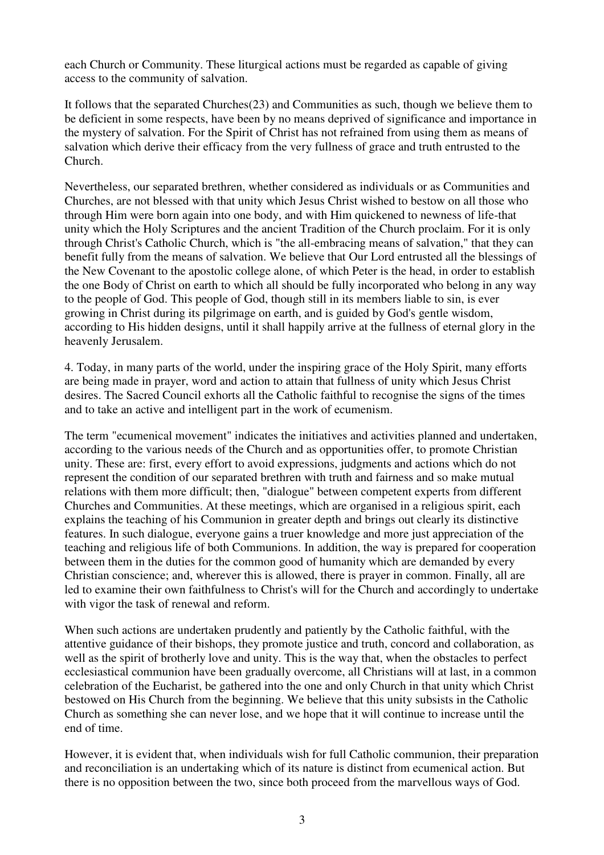each Church or Community. These liturgical actions must be regarded as capable of giving access to the community of salvation.

It follows that the separated Churches(23) and Communities as such, though we believe them to be deficient in some respects, have been by no means deprived of significance and importance in the mystery of salvation. For the Spirit of Christ has not refrained from using them as means of salvation which derive their efficacy from the very fullness of grace and truth entrusted to the Church.

Nevertheless, our separated brethren, whether considered as individuals or as Communities and Churches, are not blessed with that unity which Jesus Christ wished to bestow on all those who through Him were born again into one body, and with Him quickened to newness of life-that unity which the Holy Scriptures and the ancient Tradition of the Church proclaim. For it is only through Christ's Catholic Church, which is "the all-embracing means of salvation," that they can benefit fully from the means of salvation. We believe that Our Lord entrusted all the blessings of the New Covenant to the apostolic college alone, of which Peter is the head, in order to establish the one Body of Christ on earth to which all should be fully incorporated who belong in any way to the people of God. This people of God, though still in its members liable to sin, is ever growing in Christ during its pilgrimage on earth, and is guided by God's gentle wisdom, according to His hidden designs, until it shall happily arrive at the fullness of eternal glory in the heavenly Jerusalem.

4. Today, in many parts of the world, under the inspiring grace of the Holy Spirit, many efforts are being made in prayer, word and action to attain that fullness of unity which Jesus Christ desires. The Sacred Council exhorts all the Catholic faithful to recognise the signs of the times and to take an active and intelligent part in the work of ecumenism.

The term "ecumenical movement" indicates the initiatives and activities planned and undertaken, according to the various needs of the Church and as opportunities offer, to promote Christian unity. These are: first, every effort to avoid expressions, judgments and actions which do not represent the condition of our separated brethren with truth and fairness and so make mutual relations with them more difficult; then, "dialogue" between competent experts from different Churches and Communities. At these meetings, which are organised in a religious spirit, each explains the teaching of his Communion in greater depth and brings out clearly its distinctive features. In such dialogue, everyone gains a truer knowledge and more just appreciation of the teaching and religious life of both Communions. In addition, the way is prepared for cooperation between them in the duties for the common good of humanity which are demanded by every Christian conscience; and, wherever this is allowed, there is prayer in common. Finally, all are led to examine their own faithfulness to Christ's will for the Church and accordingly to undertake with vigor the task of renewal and reform.

When such actions are undertaken prudently and patiently by the Catholic faithful, with the attentive guidance of their bishops, they promote justice and truth, concord and collaboration, as well as the spirit of brotherly love and unity. This is the way that, when the obstacles to perfect ecclesiastical communion have been gradually overcome, all Christians will at last, in a common celebration of the Eucharist, be gathered into the one and only Church in that unity which Christ bestowed on His Church from the beginning. We believe that this unity subsists in the Catholic Church as something she can never lose, and we hope that it will continue to increase until the end of time.

However, it is evident that, when individuals wish for full Catholic communion, their preparation and reconciliation is an undertaking which of its nature is distinct from ecumenical action. But there is no opposition between the two, since both proceed from the marvellous ways of God.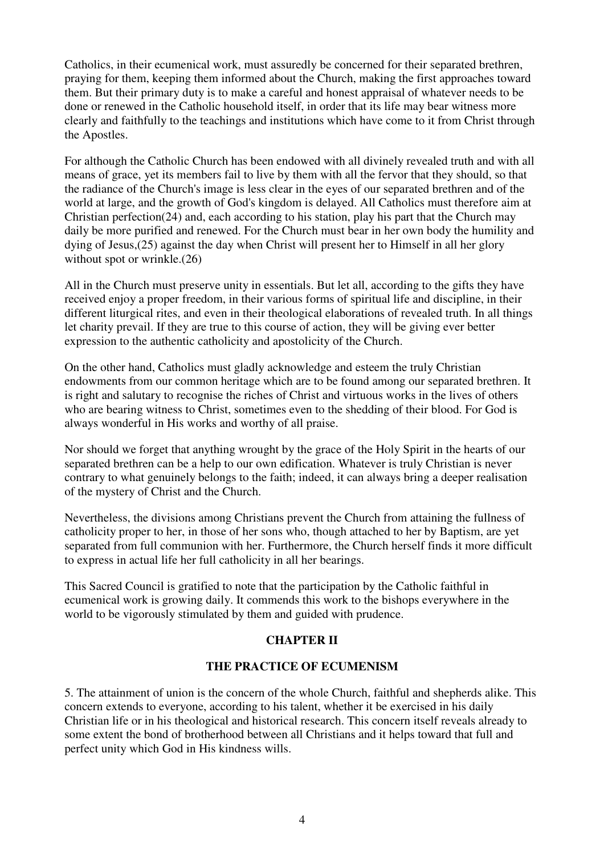Catholics, in their ecumenical work, must assuredly be concerned for their separated brethren, praying for them, keeping them informed about the Church, making the first approaches toward them. But their primary duty is to make a careful and honest appraisal of whatever needs to be done or renewed in the Catholic household itself, in order that its life may bear witness more clearly and faithfully to the teachings and institutions which have come to it from Christ through the Apostles.

For although the Catholic Church has been endowed with all divinely revealed truth and with all means of grace, yet its members fail to live by them with all the fervor that they should, so that the radiance of the Church's image is less clear in the eyes of our separated brethren and of the world at large, and the growth of God's kingdom is delayed. All Catholics must therefore aim at Christian perfection(24) and, each according to his station, play his part that the Church may daily be more purified and renewed. For the Church must bear in her own body the humility and dying of Jesus,(25) against the day when Christ will present her to Himself in all her glory without spot or wrinkle.(26)

All in the Church must preserve unity in essentials. But let all, according to the gifts they have received enjoy a proper freedom, in their various forms of spiritual life and discipline, in their different liturgical rites, and even in their theological elaborations of revealed truth. In all things let charity prevail. If they are true to this course of action, they will be giving ever better expression to the authentic catholicity and apostolicity of the Church.

On the other hand, Catholics must gladly acknowledge and esteem the truly Christian endowments from our common heritage which are to be found among our separated brethren. It is right and salutary to recognise the riches of Christ and virtuous works in the lives of others who are bearing witness to Christ, sometimes even to the shedding of their blood. For God is always wonderful in His works and worthy of all praise.

Nor should we forget that anything wrought by the grace of the Holy Spirit in the hearts of our separated brethren can be a help to our own edification. Whatever is truly Christian is never contrary to what genuinely belongs to the faith; indeed, it can always bring a deeper realisation of the mystery of Christ and the Church.

Nevertheless, the divisions among Christians prevent the Church from attaining the fullness of catholicity proper to her, in those of her sons who, though attached to her by Baptism, are yet separated from full communion with her. Furthermore, the Church herself finds it more difficult to express in actual life her full catholicity in all her bearings.

This Sacred Council is gratified to note that the participation by the Catholic faithful in ecumenical work is growing daily. It commends this work to the bishops everywhere in the world to be vigorously stimulated by them and guided with prudence.

# **CHAPTER II**

# **THE PRACTICE OF ECUMENISM**

5. The attainment of union is the concern of the whole Church, faithful and shepherds alike. This concern extends to everyone, according to his talent, whether it be exercised in his daily Christian life or in his theological and historical research. This concern itself reveals already to some extent the bond of brotherhood between all Christians and it helps toward that full and perfect unity which God in His kindness wills.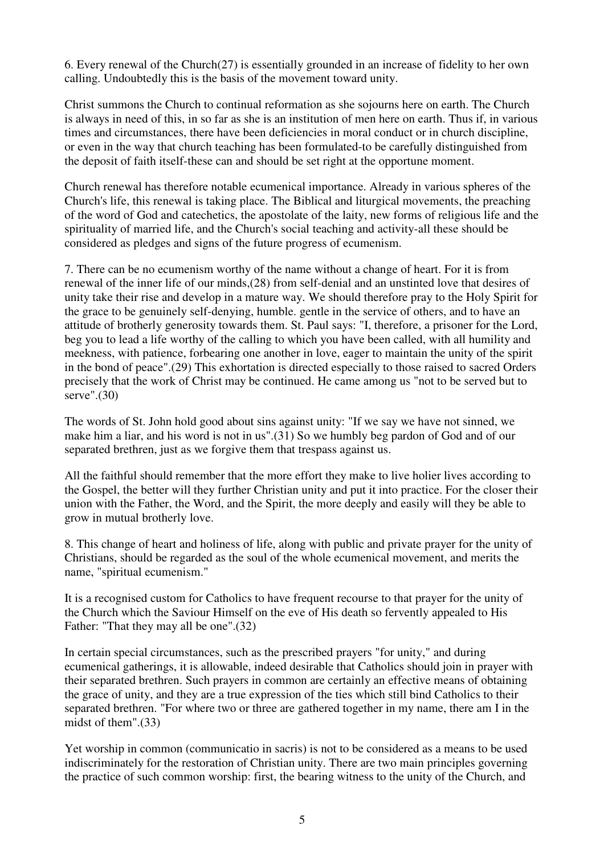6. Every renewal of the Church(27) is essentially grounded in an increase of fidelity to her own calling. Undoubtedly this is the basis of the movement toward unity.

Christ summons the Church to continual reformation as she sojourns here on earth. The Church is always in need of this, in so far as she is an institution of men here on earth. Thus if, in various times and circumstances, there have been deficiencies in moral conduct or in church discipline, or even in the way that church teaching has been formulated-to be carefully distinguished from the deposit of faith itself-these can and should be set right at the opportune moment.

Church renewal has therefore notable ecumenical importance. Already in various spheres of the Church's life, this renewal is taking place. The Biblical and liturgical movements, the preaching of the word of God and catechetics, the apostolate of the laity, new forms of religious life and the spirituality of married life, and the Church's social teaching and activity-all these should be considered as pledges and signs of the future progress of ecumenism.

7. There can be no ecumenism worthy of the name without a change of heart. For it is from renewal of the inner life of our minds,(28) from self-denial and an unstinted love that desires of unity take their rise and develop in a mature way. We should therefore pray to the Holy Spirit for the grace to be genuinely self-denying, humble. gentle in the service of others, and to have an attitude of brotherly generosity towards them. St. Paul says: "I, therefore, a prisoner for the Lord, beg you to lead a life worthy of the calling to which you have been called, with all humility and meekness, with patience, forbearing one another in love, eager to maintain the unity of the spirit in the bond of peace".(29) This exhortation is directed especially to those raised to sacred Orders precisely that the work of Christ may be continued. He came among us "not to be served but to serve".(30)

The words of St. John hold good about sins against unity: "If we say we have not sinned, we make him a liar, and his word is not in us".(31) So we humbly beg pardon of God and of our separated brethren, just as we forgive them that trespass against us.

All the faithful should remember that the more effort they make to live holier lives according to the Gospel, the better will they further Christian unity and put it into practice. For the closer their union with the Father, the Word, and the Spirit, the more deeply and easily will they be able to grow in mutual brotherly love.

8. This change of heart and holiness of life, along with public and private prayer for the unity of Christians, should be regarded as the soul of the whole ecumenical movement, and merits the name, "spiritual ecumenism."

It is a recognised custom for Catholics to have frequent recourse to that prayer for the unity of the Church which the Saviour Himself on the eve of His death so fervently appealed to His Father: "That they may all be one".(32)

In certain special circumstances, such as the prescribed prayers "for unity," and during ecumenical gatherings, it is allowable, indeed desirable that Catholics should join in prayer with their separated brethren. Such prayers in common are certainly an effective means of obtaining the grace of unity, and they are a true expression of the ties which still bind Catholics to their separated brethren. "For where two or three are gathered together in my name, there am I in the midst of them".(33)

Yet worship in common (communicatio in sacris) is not to be considered as a means to be used indiscriminately for the restoration of Christian unity. There are two main principles governing the practice of such common worship: first, the bearing witness to the unity of the Church, and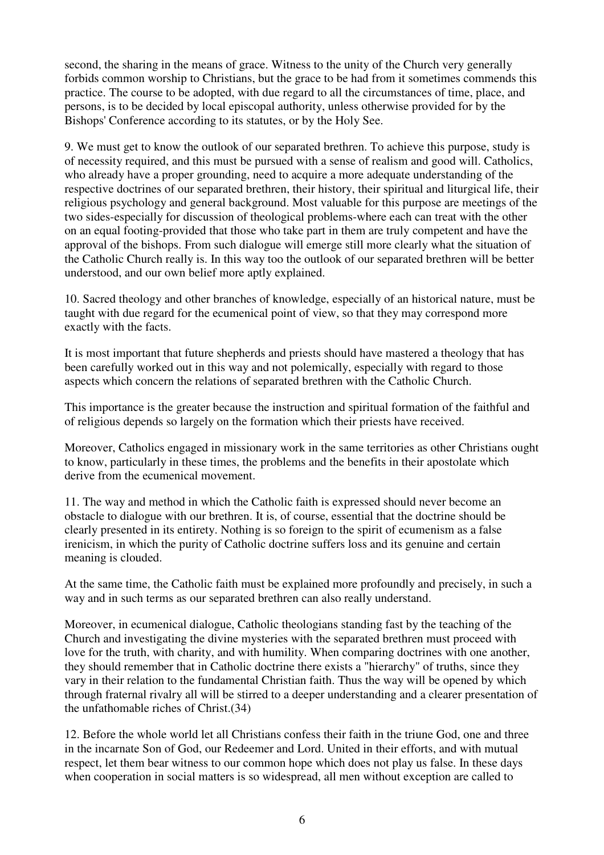second, the sharing in the means of grace. Witness to the unity of the Church very generally forbids common worship to Christians, but the grace to be had from it sometimes commends this practice. The course to be adopted, with due regard to all the circumstances of time, place, and persons, is to be decided by local episcopal authority, unless otherwise provided for by the Bishops' Conference according to its statutes, or by the Holy See.

9. We must get to know the outlook of our separated brethren. To achieve this purpose, study is of necessity required, and this must be pursued with a sense of realism and good will. Catholics, who already have a proper grounding, need to acquire a more adequate understanding of the respective doctrines of our separated brethren, their history, their spiritual and liturgical life, their religious psychology and general background. Most valuable for this purpose are meetings of the two sides-especially for discussion of theological problems-where each can treat with the other on an equal footing-provided that those who take part in them are truly competent and have the approval of the bishops. From such dialogue will emerge still more clearly what the situation of the Catholic Church really is. In this way too the outlook of our separated brethren will be better understood, and our own belief more aptly explained.

10. Sacred theology and other branches of knowledge, especially of an historical nature, must be taught with due regard for the ecumenical point of view, so that they may correspond more exactly with the facts.

It is most important that future shepherds and priests should have mastered a theology that has been carefully worked out in this way and not polemically, especially with regard to those aspects which concern the relations of separated brethren with the Catholic Church.

This importance is the greater because the instruction and spiritual formation of the faithful and of religious depends so largely on the formation which their priests have received.

Moreover, Catholics engaged in missionary work in the same territories as other Christians ought to know, particularly in these times, the problems and the benefits in their apostolate which derive from the ecumenical movement.

11. The way and method in which the Catholic faith is expressed should never become an obstacle to dialogue with our brethren. It is, of course, essential that the doctrine should be clearly presented in its entirety. Nothing is so foreign to the spirit of ecumenism as a false irenicism, in which the purity of Catholic doctrine suffers loss and its genuine and certain meaning is clouded.

At the same time, the Catholic faith must be explained more profoundly and precisely, in such a way and in such terms as our separated brethren can also really understand.

Moreover, in ecumenical dialogue, Catholic theologians standing fast by the teaching of the Church and investigating the divine mysteries with the separated brethren must proceed with love for the truth, with charity, and with humility. When comparing doctrines with one another, they should remember that in Catholic doctrine there exists a "hierarchy" of truths, since they vary in their relation to the fundamental Christian faith. Thus the way will be opened by which through fraternal rivalry all will be stirred to a deeper understanding and a clearer presentation of the unfathomable riches of Christ.(34)

12. Before the whole world let all Christians confess their faith in the triune God, one and three in the incarnate Son of God, our Redeemer and Lord. United in their efforts, and with mutual respect, let them bear witness to our common hope which does not play us false. In these days when cooperation in social matters is so widespread, all men without exception are called to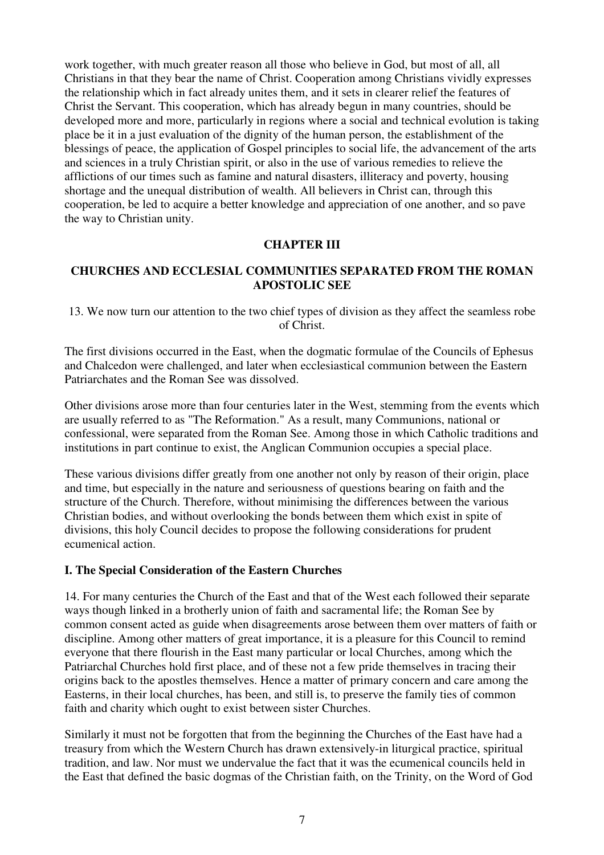work together, with much greater reason all those who believe in God, but most of all, all Christians in that they bear the name of Christ. Cooperation among Christians vividly expresses the relationship which in fact already unites them, and it sets in clearer relief the features of Christ the Servant. This cooperation, which has already begun in many countries, should be developed more and more, particularly in regions where a social and technical evolution is taking place be it in a just evaluation of the dignity of the human person, the establishment of the blessings of peace, the application of Gospel principles to social life, the advancement of the arts and sciences in a truly Christian spirit, or also in the use of various remedies to relieve the afflictions of our times such as famine and natural disasters, illiteracy and poverty, housing shortage and the unequal distribution of wealth. All believers in Christ can, through this cooperation, be led to acquire a better knowledge and appreciation of one another, and so pave the way to Christian unity.

# **CHAPTER III**

# **CHURCHES AND ECCLESIAL COMMUNITIES SEPARATED FROM THE ROMAN APOSTOLIC SEE**

13. We now turn our attention to the two chief types of division as they affect the seamless robe of Christ.

The first divisions occurred in the East, when the dogmatic formulae of the Councils of Ephesus and Chalcedon were challenged, and later when ecclesiastical communion between the Eastern Patriarchates and the Roman See was dissolved.

Other divisions arose more than four centuries later in the West, stemming from the events which are usually referred to as "The Reformation." As a result, many Communions, national or confessional, were separated from the Roman See. Among those in which Catholic traditions and institutions in part continue to exist, the Anglican Communion occupies a special place.

These various divisions differ greatly from one another not only by reason of their origin, place and time, but especially in the nature and seriousness of questions bearing on faith and the structure of the Church. Therefore, without minimising the differences between the various Christian bodies, and without overlooking the bonds between them which exist in spite of divisions, this holy Council decides to propose the following considerations for prudent ecumenical action.

# **I. The Special Consideration of the Eastern Churches**

14. For many centuries the Church of the East and that of the West each followed their separate ways though linked in a brotherly union of faith and sacramental life; the Roman See by common consent acted as guide when disagreements arose between them over matters of faith or discipline. Among other matters of great importance, it is a pleasure for this Council to remind everyone that there flourish in the East many particular or local Churches, among which the Patriarchal Churches hold first place, and of these not a few pride themselves in tracing their origins back to the apostles themselves. Hence a matter of primary concern and care among the Easterns, in their local churches, has been, and still is, to preserve the family ties of common faith and charity which ought to exist between sister Churches.

Similarly it must not be forgotten that from the beginning the Churches of the East have had a treasury from which the Western Church has drawn extensively-in liturgical practice, spiritual tradition, and law. Nor must we undervalue the fact that it was the ecumenical councils held in the East that defined the basic dogmas of the Christian faith, on the Trinity, on the Word of God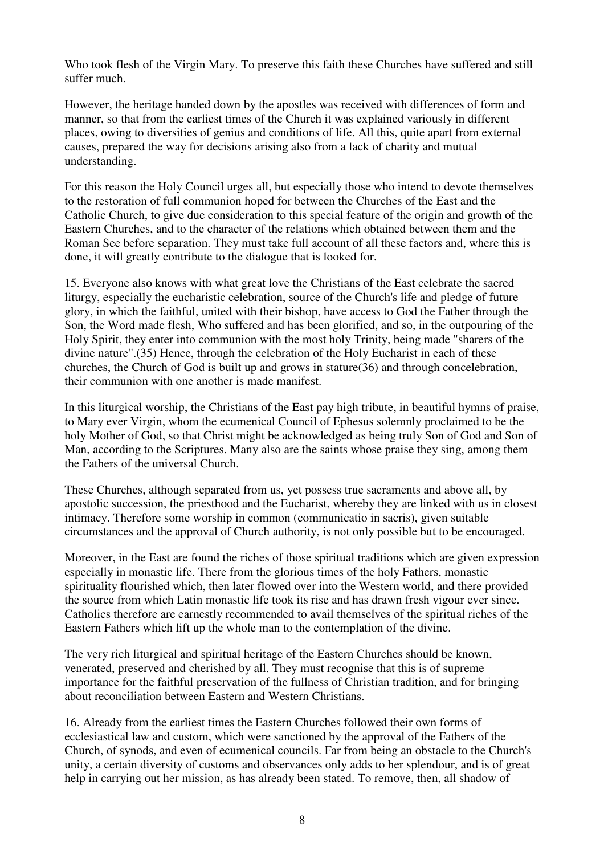Who took flesh of the Virgin Mary. To preserve this faith these Churches have suffered and still suffer much.

However, the heritage handed down by the apostles was received with differences of form and manner, so that from the earliest times of the Church it was explained variously in different places, owing to diversities of genius and conditions of life. All this, quite apart from external causes, prepared the way for decisions arising also from a lack of charity and mutual understanding.

For this reason the Holy Council urges all, but especially those who intend to devote themselves to the restoration of full communion hoped for between the Churches of the East and the Catholic Church, to give due consideration to this special feature of the origin and growth of the Eastern Churches, and to the character of the relations which obtained between them and the Roman See before separation. They must take full account of all these factors and, where this is done, it will greatly contribute to the dialogue that is looked for.

15. Everyone also knows with what great love the Christians of the East celebrate the sacred liturgy, especially the eucharistic celebration, source of the Church's life and pledge of future glory, in which the faithful, united with their bishop, have access to God the Father through the Son, the Word made flesh, Who suffered and has been glorified, and so, in the outpouring of the Holy Spirit, they enter into communion with the most holy Trinity, being made "sharers of the divine nature".(35) Hence, through the celebration of the Holy Eucharist in each of these churches, the Church of God is built up and grows in stature(36) and through concelebration, their communion with one another is made manifest.

In this liturgical worship, the Christians of the East pay high tribute, in beautiful hymns of praise, to Mary ever Virgin, whom the ecumenical Council of Ephesus solemnly proclaimed to be the holy Mother of God, so that Christ might be acknowledged as being truly Son of God and Son of Man, according to the Scriptures. Many also are the saints whose praise they sing, among them the Fathers of the universal Church.

These Churches, although separated from us, yet possess true sacraments and above all, by apostolic succession, the priesthood and the Eucharist, whereby they are linked with us in closest intimacy. Therefore some worship in common (communicatio in sacris), given suitable circumstances and the approval of Church authority, is not only possible but to be encouraged.

Moreover, in the East are found the riches of those spiritual traditions which are given expression especially in monastic life. There from the glorious times of the holy Fathers, monastic spirituality flourished which, then later flowed over into the Western world, and there provided the source from which Latin monastic life took its rise and has drawn fresh vigour ever since. Catholics therefore are earnestly recommended to avail themselves of the spiritual riches of the Eastern Fathers which lift up the whole man to the contemplation of the divine.

The very rich liturgical and spiritual heritage of the Eastern Churches should be known, venerated, preserved and cherished by all. They must recognise that this is of supreme importance for the faithful preservation of the fullness of Christian tradition, and for bringing about reconciliation between Eastern and Western Christians.

16. Already from the earliest times the Eastern Churches followed their own forms of ecclesiastical law and custom, which were sanctioned by the approval of the Fathers of the Church, of synods, and even of ecumenical councils. Far from being an obstacle to the Church's unity, a certain diversity of customs and observances only adds to her splendour, and is of great help in carrying out her mission, as has already been stated. To remove, then, all shadow of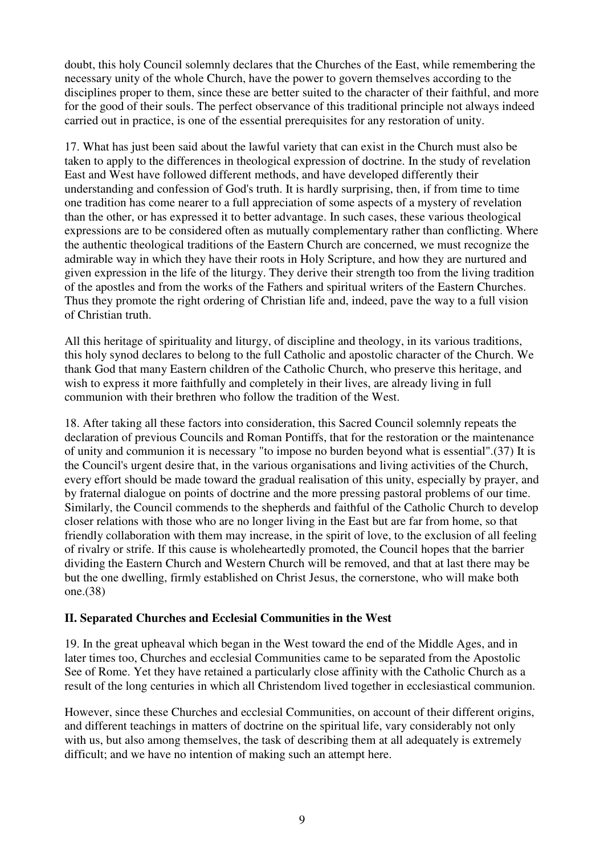doubt, this holy Council solemnly declares that the Churches of the East, while remembering the necessary unity of the whole Church, have the power to govern themselves according to the disciplines proper to them, since these are better suited to the character of their faithful, and more for the good of their souls. The perfect observance of this traditional principle not always indeed carried out in practice, is one of the essential prerequisites for any restoration of unity.

17. What has just been said about the lawful variety that can exist in the Church must also be taken to apply to the differences in theological expression of doctrine. In the study of revelation East and West have followed different methods, and have developed differently their understanding and confession of God's truth. It is hardly surprising, then, if from time to time one tradition has come nearer to a full appreciation of some aspects of a mystery of revelation than the other, or has expressed it to better advantage. In such cases, these various theological expressions are to be considered often as mutually complementary rather than conflicting. Where the authentic theological traditions of the Eastern Church are concerned, we must recognize the admirable way in which they have their roots in Holy Scripture, and how they are nurtured and given expression in the life of the liturgy. They derive their strength too from the living tradition of the apostles and from the works of the Fathers and spiritual writers of the Eastern Churches. Thus they promote the right ordering of Christian life and, indeed, pave the way to a full vision of Christian truth.

All this heritage of spirituality and liturgy, of discipline and theology, in its various traditions, this holy synod declares to belong to the full Catholic and apostolic character of the Church. We thank God that many Eastern children of the Catholic Church, who preserve this heritage, and wish to express it more faithfully and completely in their lives, are already living in full communion with their brethren who follow the tradition of the West.

18. After taking all these factors into consideration, this Sacred Council solemnly repeats the declaration of previous Councils and Roman Pontiffs, that for the restoration or the maintenance of unity and communion it is necessary "to impose no burden beyond what is essential".(37) It is the Council's urgent desire that, in the various organisations and living activities of the Church, every effort should be made toward the gradual realisation of this unity, especially by prayer, and by fraternal dialogue on points of doctrine and the more pressing pastoral problems of our time. Similarly, the Council commends to the shepherds and faithful of the Catholic Church to develop closer relations with those who are no longer living in the East but are far from home, so that friendly collaboration with them may increase, in the spirit of love, to the exclusion of all feeling of rivalry or strife. If this cause is wholeheartedly promoted, the Council hopes that the barrier dividing the Eastern Church and Western Church will be removed, and that at last there may be but the one dwelling, firmly established on Christ Jesus, the cornerstone, who will make both one.(38)

# **II. Separated Churches and Ecclesial Communities in the West**

19. In the great upheaval which began in the West toward the end of the Middle Ages, and in later times too, Churches and ecclesial Communities came to be separated from the Apostolic See of Rome. Yet they have retained a particularly close affinity with the Catholic Church as a result of the long centuries in which all Christendom lived together in ecclesiastical communion.

However, since these Churches and ecclesial Communities, on account of their different origins, and different teachings in matters of doctrine on the spiritual life, vary considerably not only with us, but also among themselves, the task of describing them at all adequately is extremely difficult; and we have no intention of making such an attempt here.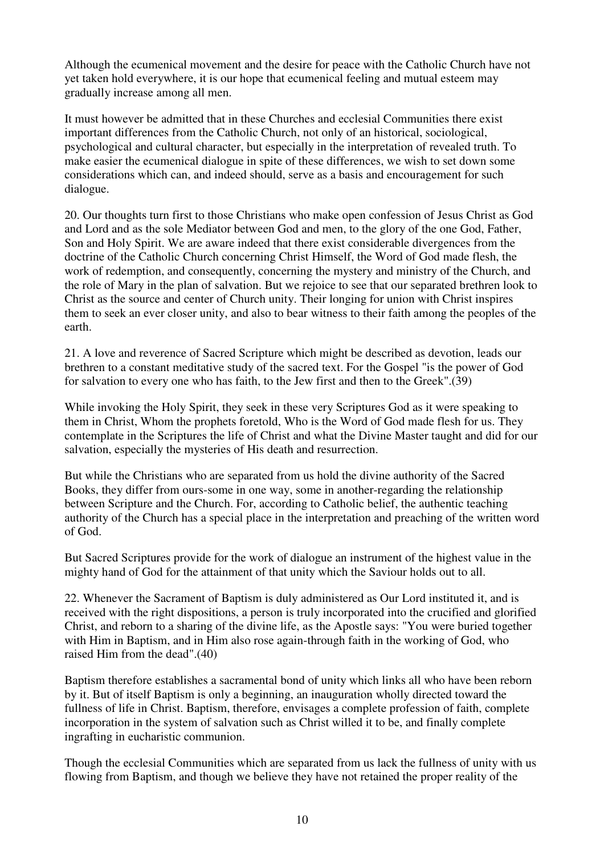Although the ecumenical movement and the desire for peace with the Catholic Church have not yet taken hold everywhere, it is our hope that ecumenical feeling and mutual esteem may gradually increase among all men.

It must however be admitted that in these Churches and ecclesial Communities there exist important differences from the Catholic Church, not only of an historical, sociological, psychological and cultural character, but especially in the interpretation of revealed truth. To make easier the ecumenical dialogue in spite of these differences, we wish to set down some considerations which can, and indeed should, serve as a basis and encouragement for such dialogue.

20. Our thoughts turn first to those Christians who make open confession of Jesus Christ as God and Lord and as the sole Mediator between God and men, to the glory of the one God, Father, Son and Holy Spirit. We are aware indeed that there exist considerable divergences from the doctrine of the Catholic Church concerning Christ Himself, the Word of God made flesh, the work of redemption, and consequently, concerning the mystery and ministry of the Church, and the role of Mary in the plan of salvation. But we rejoice to see that our separated brethren look to Christ as the source and center of Church unity. Their longing for union with Christ inspires them to seek an ever closer unity, and also to bear witness to their faith among the peoples of the earth.

21. A love and reverence of Sacred Scripture which might be described as devotion, leads our brethren to a constant meditative study of the sacred text. For the Gospel "is the power of God for salvation to every one who has faith, to the Jew first and then to the Greek".(39)

While invoking the Holy Spirit, they seek in these very Scriptures God as it were speaking to them in Christ, Whom the prophets foretold, Who is the Word of God made flesh for us. They contemplate in the Scriptures the life of Christ and what the Divine Master taught and did for our salvation, especially the mysteries of His death and resurrection.

But while the Christians who are separated from us hold the divine authority of the Sacred Books, they differ from ours-some in one way, some in another-regarding the relationship between Scripture and the Church. For, according to Catholic belief, the authentic teaching authority of the Church has a special place in the interpretation and preaching of the written word of God.

But Sacred Scriptures provide for the work of dialogue an instrument of the highest value in the mighty hand of God for the attainment of that unity which the Saviour holds out to all.

22. Whenever the Sacrament of Baptism is duly administered as Our Lord instituted it, and is received with the right dispositions, a person is truly incorporated into the crucified and glorified Christ, and reborn to a sharing of the divine life, as the Apostle says: "You were buried together with Him in Baptism, and in Him also rose again-through faith in the working of God, who raised Him from the dead".(40)

Baptism therefore establishes a sacramental bond of unity which links all who have been reborn by it. But of itself Baptism is only a beginning, an inauguration wholly directed toward the fullness of life in Christ. Baptism, therefore, envisages a complete profession of faith, complete incorporation in the system of salvation such as Christ willed it to be, and finally complete ingrafting in eucharistic communion.

Though the ecclesial Communities which are separated from us lack the fullness of unity with us flowing from Baptism, and though we believe they have not retained the proper reality of the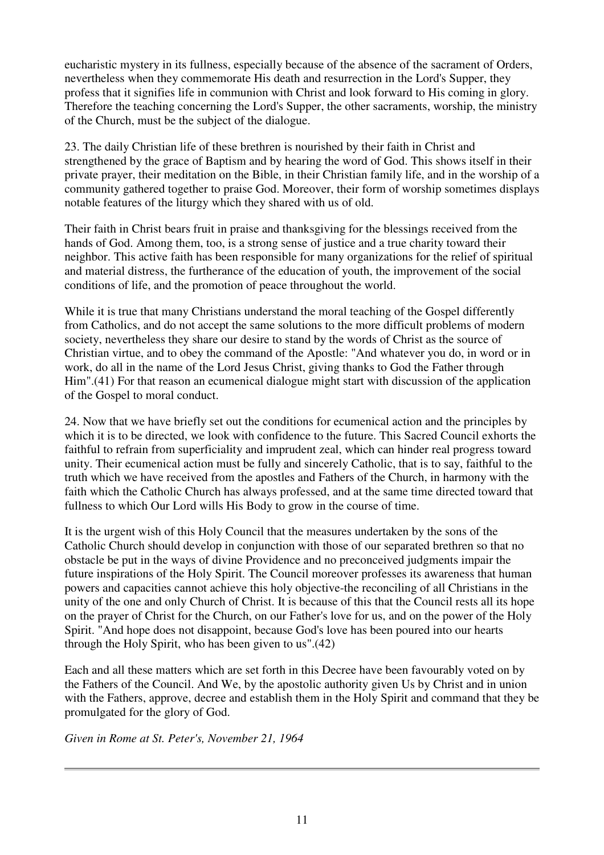eucharistic mystery in its fullness, especially because of the absence of the sacrament of Orders, nevertheless when they commemorate His death and resurrection in the Lord's Supper, they profess that it signifies life in communion with Christ and look forward to His coming in glory. Therefore the teaching concerning the Lord's Supper, the other sacraments, worship, the ministry of the Church, must be the subject of the dialogue.

23. The daily Christian life of these brethren is nourished by their faith in Christ and strengthened by the grace of Baptism and by hearing the word of God. This shows itself in their private prayer, their meditation on the Bible, in their Christian family life, and in the worship of a community gathered together to praise God. Moreover, their form of worship sometimes displays notable features of the liturgy which they shared with us of old.

Their faith in Christ bears fruit in praise and thanksgiving for the blessings received from the hands of God. Among them, too, is a strong sense of justice and a true charity toward their neighbor. This active faith has been responsible for many organizations for the relief of spiritual and material distress, the furtherance of the education of youth, the improvement of the social conditions of life, and the promotion of peace throughout the world.

While it is true that many Christians understand the moral teaching of the Gospel differently from Catholics, and do not accept the same solutions to the more difficult problems of modern society, nevertheless they share our desire to stand by the words of Christ as the source of Christian virtue, and to obey the command of the Apostle: "And whatever you do, in word or in work, do all in the name of the Lord Jesus Christ, giving thanks to God the Father through Him".(41) For that reason an ecumenical dialogue might start with discussion of the application of the Gospel to moral conduct.

24. Now that we have briefly set out the conditions for ecumenical action and the principles by which it is to be directed, we look with confidence to the future. This Sacred Council exhorts the faithful to refrain from superficiality and imprudent zeal, which can hinder real progress toward unity. Their ecumenical action must be fully and sincerely Catholic, that is to say, faithful to the truth which we have received from the apostles and Fathers of the Church, in harmony with the faith which the Catholic Church has always professed, and at the same time directed toward that fullness to which Our Lord wills His Body to grow in the course of time.

It is the urgent wish of this Holy Council that the measures undertaken by the sons of the Catholic Church should develop in conjunction with those of our separated brethren so that no obstacle be put in the ways of divine Providence and no preconceived judgments impair the future inspirations of the Holy Spirit. The Council moreover professes its awareness that human powers and capacities cannot achieve this holy objective-the reconciling of all Christians in the unity of the one and only Church of Christ. It is because of this that the Council rests all its hope on the prayer of Christ for the Church, on our Father's love for us, and on the power of the Holy Spirit. "And hope does not disappoint, because God's love has been poured into our hearts through the Holy Spirit, who has been given to us".(42)

Each and all these matters which are set forth in this Decree have been favourably voted on by the Fathers of the Council. And We, by the apostolic authority given Us by Christ and in union with the Fathers, approve, decree and establish them in the Holy Spirit and command that they be promulgated for the glory of God.

*Given in Rome at St. Peter's, November 21, 1964*